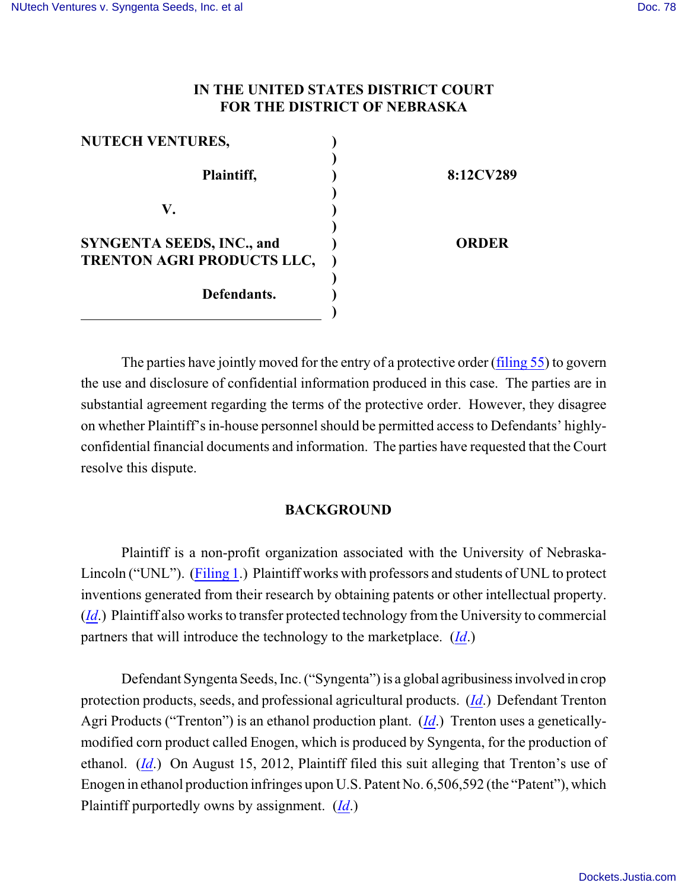## **IN THE UNITED STATES DISTRICT COURT FOR THE DISTRICT OF NEBRASKA**

| <b>NUTECH VENTURES,</b>                                        |              |
|----------------------------------------------------------------|--------------|
| Plaintiff,                                                     | 8:12CV289    |
| V.                                                             |              |
| <b>SYNGENTA SEEDS, INC., and</b><br>TRENTON AGRI PRODUCTS LLC, | <b>ORDER</b> |
| Defendants.                                                    |              |

The parties have jointly moved for the entry of a protective order [\(filing 55](https://ecf.ned.uscourts.gov/doc1/11302775221)) to govern the use and disclosure of confidential information produced in this case. The parties are in substantial agreement regarding the terms of the protective order. However, they disagree on whether Plaintiff's in-house personnel should be permitted access to Defendants' highlyconfidential financial documents and information. The parties have requested that the Court resolve this dispute.

## **BACKGROUND**

Plaintiff is a non-profit organization associated with the University of Nebraska-Lincoln ("UNL"). [\(Filing 1](https://ecf.ned.uscourts.gov/doc1/11302585647).) Plaintiff works with professors and students of UNL to protect inventions generated from their research by obtaining patents or other intellectual property. (*[Id](https://ecf.ned.uscourts.gov/doc1/11302585647)*.) Plaintiff also works to transfer protected technology from the University to commercial partners that will introduce the technology to the marketplace. (*[Id](https://ecf.ned.uscourts.gov/doc1/11302585647)*.)

Defendant Syngenta Seeds, Inc. ("Syngenta") is a global agribusiness involved in crop protection products, seeds, and professional agricultural products. (*[Id](https://ecf.ned.uscourts.gov/doc1/11302585647)*.) Defendant Trenton Agri Products ("Trenton") is an ethanol production plant. (*[Id](https://ecf.ned.uscourts.gov/doc1/11302585647)*.) Trenton uses a geneticallymodified corn product called Enogen, which is produced by Syngenta, for the production of ethanol. (*[Id](https://ecf.ned.uscourts.gov/doc1/11302585647)*.) On August 15, 2012, Plaintiff filed this suit alleging that Trenton's use of Enogen in ethanol production infringes upon U.S. Patent No. 6,506,592 (the "Patent"), which Plaintiff purportedly owns by assignment. (*[Id](https://ecf.ned.uscourts.gov/doc1/11302585647)*.)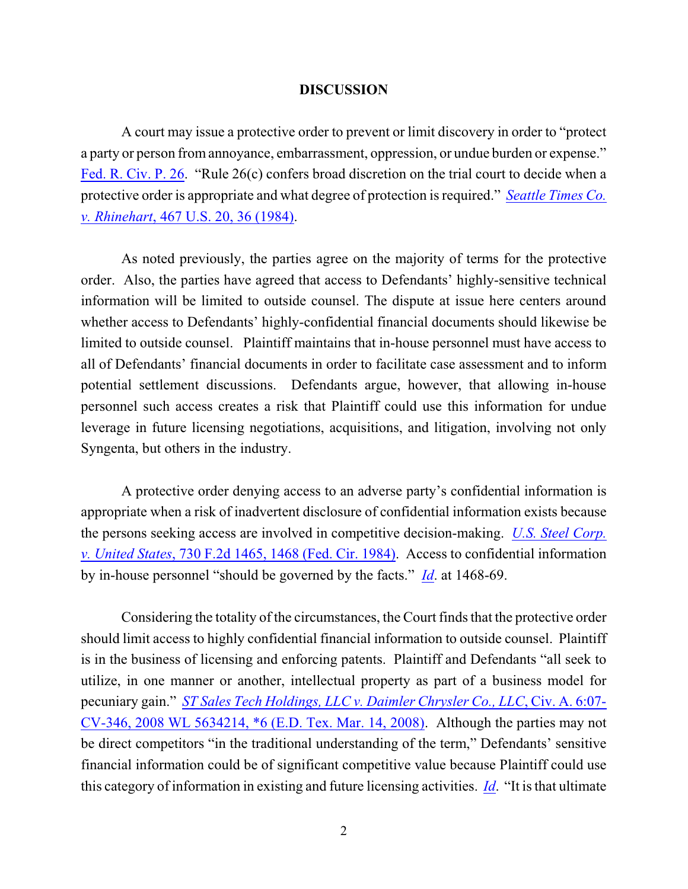## **DISCUSSION**

A court may issue a protective order to prevent or limit discovery in order to "protect a party or person from annoyance, embarrassment, oppression, or undue burden or expense." [Fed. R. Civ. P. 26](http://web2.westlaw.com/find/default.wl?cite=usca+civil+procedure+26&rs=WLW13.04&vr=2.0&rp=%2ffind%2fdefault.wl&utid=3&fn=_top&mt=ReutersNewsUS&sv=Split). "Rule 26(c) confers broad discretion on the trial court to decide when a protective order is appropriate and what degree of protection is required." *[Seattle Times Co.](http://www.westlaw.com/find/default.wl?rs=CLWP3.0&vr=2.0&cite=467+U.S.+20) v. Rhinehart*[, 467 U.S. 20, 36 \(1984\)](http://www.westlaw.com/find/default.wl?rs=CLWP3.0&vr=2.0&cite=467+U.S.+20).

As noted previously, the parties agree on the majority of terms for the protective order. Also, the parties have agreed that access to Defendants' highly-sensitive technical information will be limited to outside counsel. The dispute at issue here centers around whether access to Defendants' highly-confidential financial documents should likewise be limited to outside counsel. Plaintiff maintains that in-house personnel must have access to all of Defendants' financial documents in order to facilitate case assessment and to inform potential settlement discussions. Defendants argue, however, that allowing in-house personnel such access creates a risk that Plaintiff could use this information for undue leverage in future licensing negotiations, acquisitions, and litigation, involving not only Syngenta, but others in the industry.

A protective order denying access to an adverse party's confidential information is appropriate when a risk of inadvertent disclosure of confidential information exists because the persons seeking access are involved in competitive decision-making. *[U.S. Steel Corp.](http://web2.westlaw.com/find/default.wl?cite=730+F.2d+1465&rs=WLW13.04&vr=2.0&rp=%2ffind%2fdefault.wl&utid=3&fn=_top&mt=ReutersNewsUS&sv=Split) v. United States*[, 730 F.2d 1465, 1468 \(Fed. Cir. 1984\)](http://web2.westlaw.com/find/default.wl?cite=730+F.2d+1465&rs=WLW13.04&vr=2.0&rp=%2ffind%2fdefault.wl&utid=3&fn=_top&mt=ReutersNewsUS&sv=Split). Access to confidential information by in-house personnel "should be governed by the facts." *[Id](http://web2.westlaw.com/find/default.wl?cite=730+F.2d+1465&rs=WLW13.04&vr=2.0&rp=%2ffind%2fdefault.wl&utid=3&fn=_top&mt=ReutersNewsUS&sv=Split)*. at 1468-69.

Considering the totality of the circumstances, the Court finds that the protective order should limit access to highly confidential financial information to outside counsel. Plaintiff is in the business of licensing and enforcing patents. Plaintiff and Defendants "all seek to utilize, in one manner or another, intellectual property as part of a business model for pecuniary gain." *[ST Sales Tech Holdings, LLC v. Daimler Chrysler Co., LLC](http://web2.westlaw.com/find/default.wl?cite=2008+WL+5634214&rs=WLW13.04&vr=2.0&rp=%2ffind%2fdefault.wl&utid=3&fn=_top&mt=ReutersNewsUS&sv=Split)*, Civ. A. 6:07- [CV-346, 2008 WL 5634214, \\*6 \(E.D. Tex. Mar. 14, 2008\)](http://web2.westlaw.com/find/default.wl?cite=2008+WL+5634214&rs=WLW13.04&vr=2.0&rp=%2ffind%2fdefault.wl&utid=3&fn=_top&mt=ReutersNewsUS&sv=Split). Although the parties may not be direct competitors "in the traditional understanding of the term," Defendants' sensitive financial information could be of significant competitive value because Plaintiff could use this category of information in existing and future licensing activities. *[Id](http://web2.westlaw.com/find/default.wl?cite=2008+wl+5634214&rs=WLW13.04&vr=2.0&rp=%2ffind%2fdefault.wl&utid=3&fn=_top&mt=ReutersNewsUS&sv=Split)*. "It is that ultimate